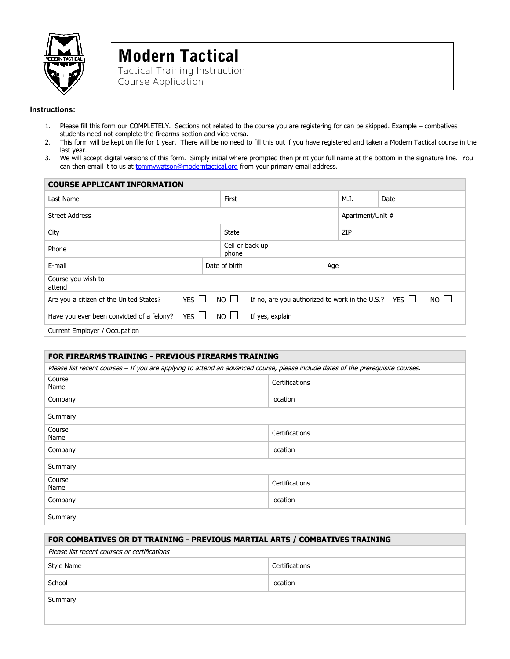

# Modern Tactical Tactical Training Instruction

Course Application

# **Instructions:**

- 1. Please fill this form our COMPLETELY. Sections not related to the course you are registering for can be skipped. Example combatives students need not complete the firearms section and vice versa.
- 2. This form will be kept on file for 1 year. There will be no need to fill this out if you have registered and taken a Modern Tactical course in the last year.
- 3. We will accept digital versions of this form. Simply initial where prompted then print your full name at the bottom in the signature line. You can then email it to us at **tommywatson@moderntactical.org** from your primary email address.

| <b>COURSE APPLICANT INFORMATION</b>                     |                      |                                 |                                                           |      |                  |              |  |
|---------------------------------------------------------|----------------------|---------------------------------|-----------------------------------------------------------|------|------------------|--------------|--|
| Last Name                                               |                      | First                           |                                                           | M.I. | Date             |              |  |
| <b>Street Address</b>                                   |                      |                                 |                                                           |      | Apartment/Unit # |              |  |
| City                                                    |                      | <b>State</b>                    |                                                           | ZIP  |                  |              |  |
| Phone                                                   |                      |                                 | Cell or back up<br>phone                                  |      |                  |              |  |
| E-mail                                                  | Date of birth<br>Age |                                 |                                                           |      |                  |              |  |
| Course you wish to<br>attend                            |                      |                                 |                                                           |      |                  |              |  |
| YES $\Box$<br>Are you a citizen of the United States?   | NO $\square$         |                                 | If no, are you authorized to work in the U.S.? YES $\Box$ |      |                  | NO $\square$ |  |
| YES $\Box$<br>Have you ever been convicted of a felony? |                      | NO $\square$<br>If yes, explain |                                                           |      |                  |              |  |
| Current Employer / Occupation                           |                      |                                 |                                                           |      |                  |              |  |

| <b>FOR FIREARMS TRAINING - PREVIOUS FIREARMS TRAINING</b>                                                                        |                |  |  |  |
|----------------------------------------------------------------------------------------------------------------------------------|----------------|--|--|--|
| Please list recent courses - If you are applying to attend an advanced course, please include dates of the prerequisite courses. |                |  |  |  |
| Course<br>Name                                                                                                                   | Certifications |  |  |  |
| Company                                                                                                                          | location       |  |  |  |
| Summary                                                                                                                          |                |  |  |  |
| Course<br>Name                                                                                                                   | Certifications |  |  |  |
| Company                                                                                                                          | location       |  |  |  |
| Summary                                                                                                                          |                |  |  |  |
| Course<br>Name                                                                                                                   | Certifications |  |  |  |
| Company                                                                                                                          | location       |  |  |  |
| Summary                                                                                                                          |                |  |  |  |

| FOR COMBATIVES OR DT TRAINING - PREVIOUS MARTIAL ARTS / COMBATIVES TRAINING |                |  |  |  |
|-----------------------------------------------------------------------------|----------------|--|--|--|
| Please list recent courses or certifications                                |                |  |  |  |
| Style Name                                                                  | Certifications |  |  |  |
| School                                                                      | location       |  |  |  |
| Summary                                                                     |                |  |  |  |
|                                                                             |                |  |  |  |